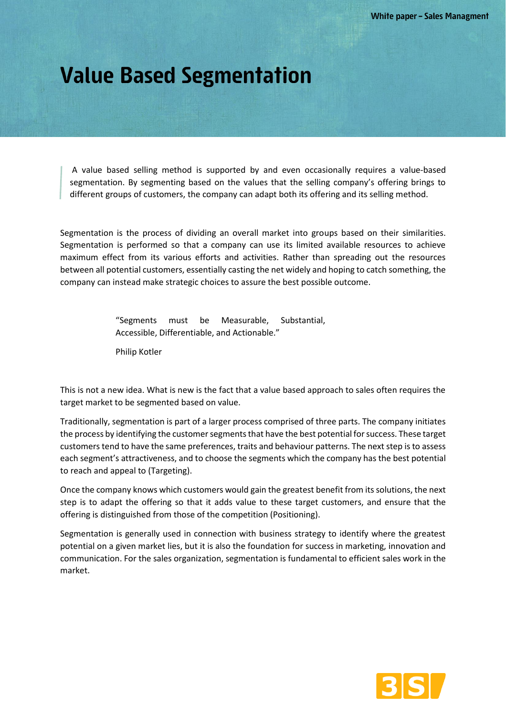## **Value Based Segmentation**

A value based selling method is supported by and even occasionally requires a value-based segmentation. By segmenting based on the values that the selling company's offering brings to different groups of customers, the company can adapt both its offering and its selling method.

Segmentation is the process of dividing an overall market into groups based on their similarities. Segmentation is performed so that a company can use its limited available resources to achieve maximum effect from its various efforts and activities. Rather than spreading out the resources between all potential customers, essentially casting the net widely and hoping to catch something, the company can instead make strategic choices to assure the best possible outcome.

> "Segments must be Measurable, Substantial, Accessible, Differentiable, and Actionable."

Philip Kotler

This is not a new idea. What is new is the fact that a value based approach to sales often requires the target market to be segmented based on value.

Traditionally, segmentation is part of a larger process comprised of three parts. The company initiates the process by identifying the customer segments that have the best potential for success. These target customers tend to have the same preferences, traits and behaviour patterns. The next step is to assess each segment's attractiveness, and to choose the segments which the company has the best potential to reach and appeal to (Targeting).

Once the company knows which customers would gain the greatest benefit from its solutions, the next step is to adapt the offering so that it adds value to these target customers, and ensure that the offering is distinguished from those of the competition (Positioning).

Segmentation is generally used in connection with business strategy to identify where the greatest potential on a given market lies, but it is also the foundation for success in marketing, innovation and communication. For the sales organization, segmentation is fundamental to efficient sales work in the market.

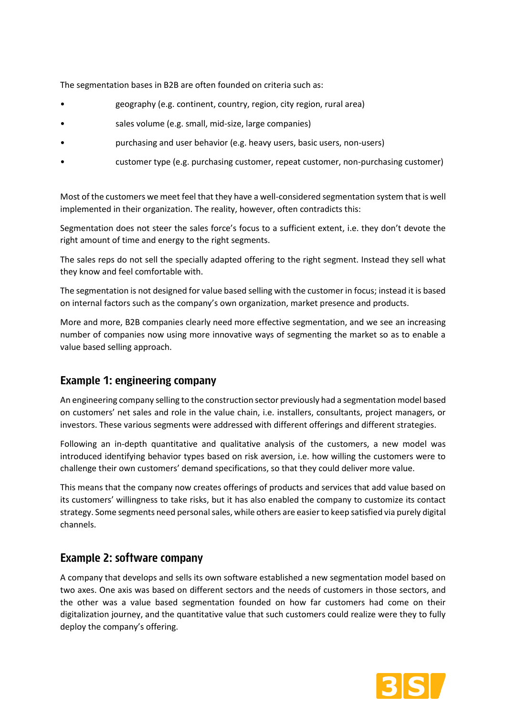The segmentation bases in B2B are often founded on criteria such as:

- geography (e.g. continent, country, region, city region, rural area)
- sales volume (e.g. small, mid-size, large companies)
- purchasing and user behavior (e.g. heavy users, basic users, non-users)
- customer type (e.g. purchasing customer, repeat customer, non-purchasing customer)

Most of the customers we meet feel that they have a well-considered segmentation system that is well implemented in their organization. The reality, however, often contradicts this:

Segmentation does not steer the sales force's focus to a sufficient extent, i.e. they don't devote the right amount of time and energy to the right segments.

The sales reps do not sell the specially adapted offering to the right segment. Instead they sell what they know and feel comfortable with.

The segmentation is not designed for value based selling with the customer in focus; instead it is based on internal factors such as the company's own organization, market presence and products.

More and more, B2B companies clearly need more effective segmentation, and we see an increasing number of companies now using more innovative ways of segmenting the market so as to enable a value based selling approach.

## **Example 1: engineering company**

An engineering company selling to the construction sector previously had a segmentation model based on customers' net sales and role in the value chain, i.e. installers, consultants, project managers, or investors. These various segments were addressed with different offerings and different strategies.

Following an in-depth quantitative and qualitative analysis of the customers, a new model was introduced identifying behavior types based on risk aversion, i.e. how willing the customers were to challenge their own customers' demand specifications, so that they could deliver more value.

This means that the company now creates offerings of products and services that add value based on its customers' willingness to take risks, but it has also enabled the company to customize its contact strategy. Some segments need personal sales, while others are easier to keep satisfied via purely digital channels.

## **Example 2: software company**

A company that develops and sells its own software established a new segmentation model based on two axes. One axis was based on different sectors and the needs of customers in those sectors, and the other was a value based segmentation founded on how far customers had come on their digitalization journey, and the quantitative value that such customers could realize were they to fully deploy the company's offering.